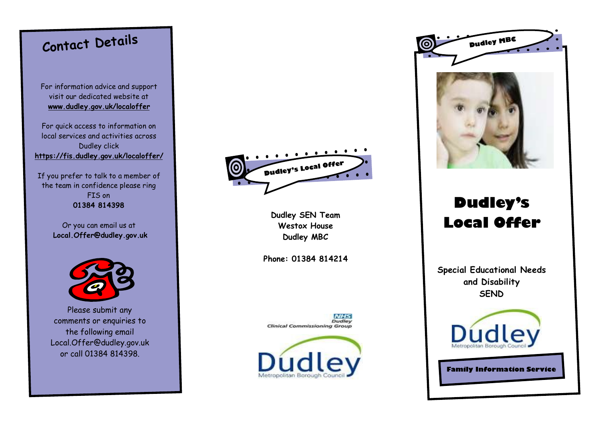# **Contact Details**

For information advice and support visit our dedicated website at **www.dudley.gov.uk/localoffer**

For quick access to information on local services and activities across Dudley click **<https://fis.dudley.gov.uk/localoffer/>**

If you prefer to talk to a member of the team in confidence please ring FIS on **01384 814398**

> Or you can email us at **Local.Offer@dudley.gov.uk**



Please submit any comments or enquiries to the following email Local.Offer@dudley.gov.uk or call 01384 814398.



**Dudley SEN Team Westox House Dudley MBC**

**Phone: 01384 814214**

**NIHS** Dudley **Clinical Commissioning Group** 





## **Dudley's Local Offer**

**Special Educational Needs and Disability SEND** 



**Family Information Service**